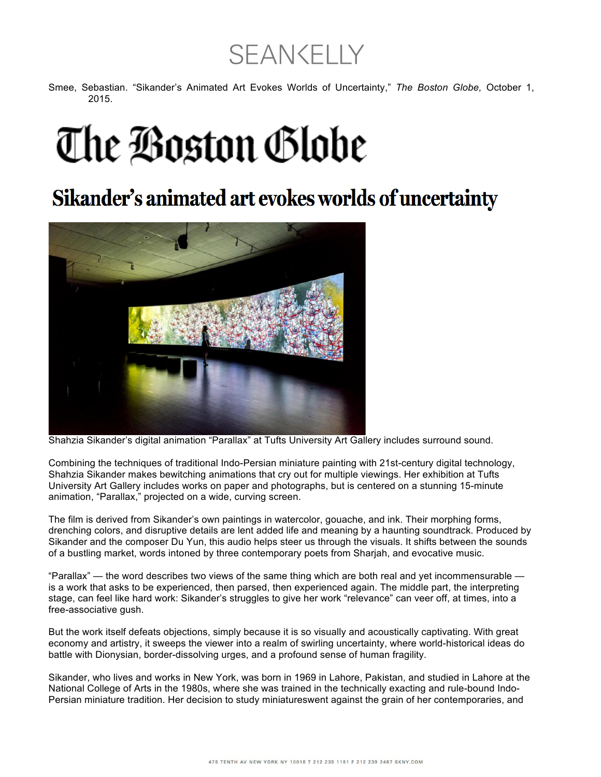## **SEAN CELLY**

Smee, Sebastian. "Sikander's Animated Art Evokes Worlds of Uncertainty," *The Boston Globe,* October 1, 2015.

## The Boston Globe

## Sikander's animated art evokes worlds of uncertainty



Shahzia Sikander's digital animation "Parallax" at Tufts University Art Gallery includes surround sound.

Combining the techniques of traditional Indo-Persian miniature painting with 21st-century digital technology, Shahzia Sikander makes bewitching animations that cry out for multiple viewings. Her exhibition at Tufts University Art Gallery includes works on paper and photographs, but is centered on a stunning 15-minute animation, "Parallax," projected on a wide, curving screen.

The film is derived from Sikander's own paintings in watercolor, gouache, and ink. Their morphing forms, drenching colors, and disruptive details are lent added life and meaning by a haunting soundtrack. Produced by Sikander and the composer Du Yun, this audio helps steer us through the visuals. It shifts between the sounds of a bustling market, words intoned by three contemporary poets from Sharjah, and evocative music.

"Parallax" — the word describes two views of the same thing which are both real and yet incommensurable is a work that asks to be experienced, then parsed, then experienced again. The middle part, the interpreting stage, can feel like hard work: Sikander's struggles to give her work "relevance" can veer off, at times, into a free-associative gush.

But the work itself defeats objections, simply because it is so visually and acoustically captivating. With great economy and artistry, it sweeps the viewer into a realm of swirling uncertainty, where world-historical ideas do battle with Dionysian, border-dissolving urges, and a profound sense of human fragility.

Sikander, who lives and works in New York, was born in 1969 in Lahore, Pakistan, and studied in Lahore at the National College of Arts in the 1980s, where she was trained in the technically exacting and rule-bound Indo-Persian miniature tradition. Her decision to study miniatureswent against the grain of her contemporaries, and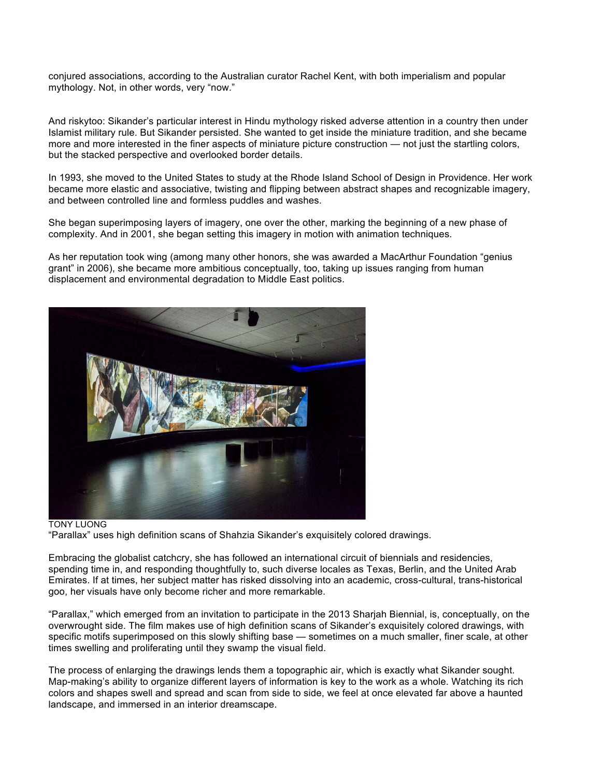conjured associations, according to the Australian curator Rachel Kent, with both imperialism and popular mythology. Not, in other words, very "now."

And riskytoo: Sikander's particular interest in Hindu mythology risked adverse attention in a country then under Islamist military rule. But Sikander persisted. She wanted to get inside the miniature tradition, and she became more and more interested in the finer aspects of miniature picture construction — not just the startling colors, but the stacked perspective and overlooked border details.

In 1993, she moved to the United States to study at the Rhode Island School of Design in Providence. Her work became more elastic and associative, twisting and flipping between abstract shapes and recognizable imagery, and between controlled line and formless puddles and washes.

She began superimposing layers of imagery, one over the other, marking the beginning of a new phase of complexity. And in 2001, she began setting this imagery in motion with animation techniques.

As her reputation took wing (among many other honors, she was awarded a MacArthur Foundation "genius grant" in 2006), she became more ambitious conceptually, too, taking up issues ranging from human displacement and environmental degradation to Middle East politics.



## TONY LUONG "Parallax" uses high definition scans of Shahzia Sikander's exquisitely colored drawings.

Embracing the globalist catchcry, she has followed an international circuit of biennials and residencies, spending time in, and responding thoughtfully to, such diverse locales as Texas, Berlin, and the United Arab Emirates. If at times, her subject matter has risked dissolving into an academic, cross-cultural, trans-historical goo, her visuals have only become richer and more remarkable.

"Parallax," which emerged from an invitation to participate in the 2013 Sharjah Biennial, is, conceptually, on the overwrought side. The film makes use of high definition scans of Sikander's exquisitely colored drawings, with specific motifs superimposed on this slowly shifting base — sometimes on a much smaller, finer scale, at other times swelling and proliferating until they swamp the visual field.

The process of enlarging the drawings lends them a topographic air, which is exactly what Sikander sought. Map-making's ability to organize different layers of information is key to the work as a whole. Watching its rich colors and shapes swell and spread and scan from side to side, we feel at once elevated far above a haunted landscape, and immersed in an interior dreamscape.